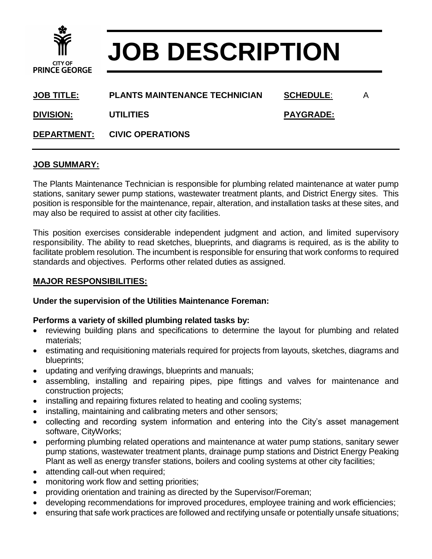

# **JOB DESCRIPTION**

| <u>JOB TITLE:</u>  | <b>PLANTS MAINTENANCE TECHNICIAN</b> | <b>SCHEDULE:</b> | A |
|--------------------|--------------------------------------|------------------|---|
| <b>DIVISION:</b>   | <b>UTILITIES</b>                     | <b>PAYGRADE:</b> |   |
| <b>DEPARTMENT:</b> | <b>CIVIC OPERATIONS</b>              |                  |   |

#### **JOB SUMMARY:**

The Plants Maintenance Technician is responsible for plumbing related maintenance at water pump stations, sanitary sewer pump stations, wastewater treatment plants, and District Energy sites. This position is responsible for the maintenance, repair, alteration, and installation tasks at these sites, and may also be required to assist at other city facilities.

This position exercises considerable independent judgment and action, and limited supervisory responsibility. The ability to read sketches, blueprints, and diagrams is required, as is the ability to facilitate problem resolution. The incumbent is responsible for ensuring that work conforms to required standards and objectives. Performs other related duties as assigned.

### **MAJOR RESPONSIBILITIES:**

#### **Under the supervision of the Utilities Maintenance Foreman:**

#### **Performs a variety of skilled plumbing related tasks by:**

- reviewing building plans and specifications to determine the layout for plumbing and related materials;
- estimating and requisitioning materials required for projects from layouts, sketches, diagrams and blueprints;
- updating and verifying drawings, blueprints and manuals;
- assembling, installing and repairing pipes, pipe fittings and valves for maintenance and construction projects;
- installing and repairing fixtures related to heating and cooling systems;
- installing, maintaining and calibrating meters and other sensors;
- collecting and recording system information and entering into the City's asset management software, CityWorks;
- performing plumbing related operations and maintenance at water pump stations, sanitary sewer pump stations, wastewater treatment plants, drainage pump stations and District Energy Peaking Plant as well as energy transfer stations, boilers and cooling systems at other city facilities;
- attending call-out when required;
- monitoring work flow and setting priorities;
- providing orientation and training as directed by the Supervisor/Foreman;
- developing recommendations for improved procedures, employee training and work efficiencies;
- ensuring that safe work practices are followed and rectifying unsafe or potentially unsafe situations;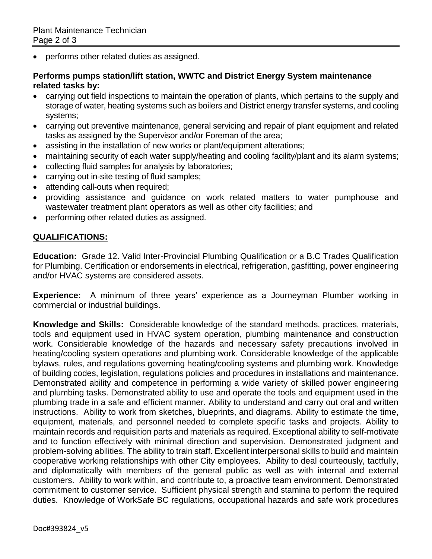• performs other related duties as assigned.

#### **Performs pumps station/lift station, WWTC and District Energy System maintenance related tasks by:**

- carrying out field inspections to maintain the operation of plants, which pertains to the supply and storage of water, heating systems such as boilers and District energy transfer systems, and cooling systems;
- carrying out preventive maintenance, general servicing and repair of plant equipment and related tasks as assigned by the Supervisor and/or Foreman of the area;
- assisting in the installation of new works or plant/equipment alterations;
- maintaining security of each water supply/heating and cooling facility/plant and its alarm systems;
- collecting fluid samples for analysis by laboratories;
- carrying out in-site testing of fluid samples;
- attending call-outs when required;
- providing assistance and guidance on work related matters to water pumphouse and wastewater treatment plant operators as well as other city facilities; and
- performing other related duties as assigned.

## **QUALIFICATIONS:**

**Education:** Grade 12. Valid Inter-Provincial Plumbing Qualification or a B.C Trades Qualification for Plumbing. Certification or endorsements in electrical, refrigeration, gasfitting, power engineering and/or HVAC systems are considered assets.

**Experience:** A minimum of three years' experience as a Journeyman Plumber working in commercial or industrial buildings.

**Knowledge and Skills:** Considerable knowledge of the standard methods, practices, materials, tools and equipment used in HVAC system operation, plumbing maintenance and construction work. Considerable knowledge of the hazards and necessary safety precautions involved in heating/cooling system operations and plumbing work. Considerable knowledge of the applicable bylaws, rules, and regulations governing heating/cooling systems and plumbing work. Knowledge of building codes, legislation, regulations policies and procedures in installations and maintenance. Demonstrated ability and competence in performing a wide variety of skilled power engineering and plumbing tasks. Demonstrated ability to use and operate the tools and equipment used in the plumbing trade in a safe and efficient manner. Ability to understand and carry out oral and written instructions. Ability to work from sketches, blueprints, and diagrams. Ability to estimate the time, equipment, materials, and personnel needed to complete specific tasks and projects. Ability to maintain records and requisition parts and materials as required. Exceptional ability to self-motivate and to function effectively with minimal direction and supervision. Demonstrated judgment and problem-solving abilities. The ability to train staff. Excellent interpersonal skills to build and maintain cooperative working relationships with other City employees. Ability to deal courteously, tactfully, and diplomatically with members of the general public as well as with internal and external customers. Ability to work within, and contribute to, a proactive team environment. Demonstrated commitment to customer service. Sufficient physical strength and stamina to perform the required duties. Knowledge of WorkSafe BC regulations, occupational hazards and safe work procedures